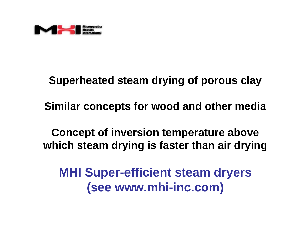

### **Superheated steam drying of porous clay**

**Similar concepts for wood and other media**

**Concept of inversion temperature above which steam drying is faster than air drying**

**MHI Super-efficient steam dryers (see www.mhi-inc.com)**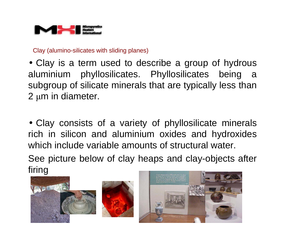

Clay (alumino-silicates with sliding planes)

• Clay is a term used to describe a group of hydrous aluminium phyllosilicates. Phyllosilicates being a subgroup of silicate minerals that are typically less than 2 μ<sup>m</sup> in diameter.

• Clay consists of a variety of phyllosilicate minerals rich in silicon and aluminium oxides and hydroxides which include variable amounts of structural water.

See picture below of clay heaps and clay-objects after firing





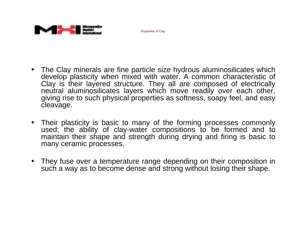

- The Clay minerals are fine particle size hydrous aluminosilicates which develop plasticity when mixed with water. A common characteristic of Clay is their layered structure. They all are composed of electrically neutral aluminosilicates layers which move readily over each other, giving rise to such physical properties as softness, soapy feel, and easy cleavage.
- Their plasticity is basic to many of the forming processes commonly used; the ability of clay-water compositions to be formed and to maintain their shape and strength during drying and firing is basic to many ceramic processes.
- They fuse over a temperature range depending on their composition in such a way as to become dense and strong without losing their shape.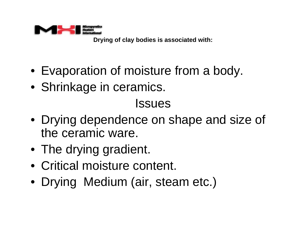

**Drying of clay bodies is associated with:**

- Evaporation of moisture from a body.
- Shrinkage in ceramics.

## **Issues**

- Drying dependence on shape and size of the ceramic ware.
- The drying gradient.
- Critical moisture content.
- Drying Medium (air, steam etc.)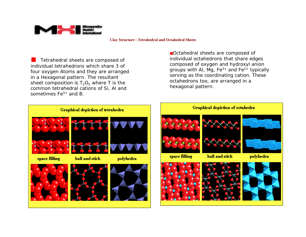

#### **Clay Structure : Tetrahedral and Octahedral Sheets**

Tetrahedral sheets are composed of individual tetrahedrons which share 3 of four oxygen Atoms and they are arranged in a Hexagonal pattern. The resultant sheet composition is  ${\tt T_2O_5}$  where T is the common tetrahedral cations of Si, Al and sometimes  $Fe<sup>3+</sup>$  and B.

■Octahedral sheets are composed of individual octahedrons that share edges composed of oxygen and hydroxyl anion groups with Al, Mg,  $Fe^{3+}$  and  $Fe^{2+}$  typically serving as the coordinating cation. These octahedrons too, are arranged in a hexagonal pattern.

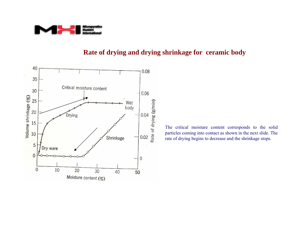

### **Rate of drying and drying shrinkage for ceramic body**



The critical moisture content corresponds to the solid particles coming into contact as shown in the next slide. The rate of drying begins to decrease and the shrinkage stops.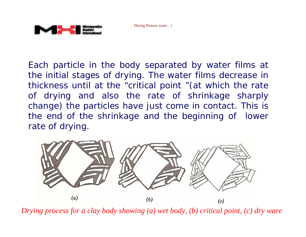

Each particle in the body separated by water films at the initial stages of drying. The water films decrease in thickness until at the "critical point "(at which the rate of drying and also the rate of shrinkage sharply change) the particles have just come in contact. This is the end of the shrinkage and the beginning of lower rate of drying.



*Drying process for a clay body showing (a) wet body, (b) critical point, (c) dry ware*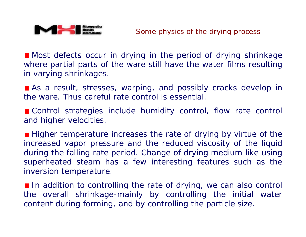

**Most defects occur in drying in the period of drying shrinkage** where partial parts of the ware still have the water films resulting in varying shrinkages.

As a result, stresses, warping, and possibly cracks develop in the ware. Thus careful rate control is essential.

■ Control strategies include humidity control, flow rate control and higher velocities.

■ Higher temperature increases the rate of drying by virtue of the increased vapor pressure and the reduced viscosity of the liquid during the falling rate period. Change of drying medium like using superheated steam has a few interesting features such as the inversion temperature.

■ In addition to controlling the rate of drying, we can also control the overall shrinkage-mainly by controlling the initial water content during forming, and by controlling the particle size.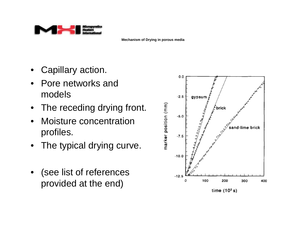

- •Capillary action.
- • Pore networks and models
- •The receding drying front.
- • Moisture concentration profiles.
- The typical drying curve.
- • (see list of references provided at the end)

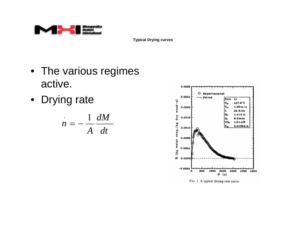

**Typical Drying curves**

- The various regimes active.
- Drying rate

$$
n = -\frac{1}{A} \frac{dM}{dt}
$$



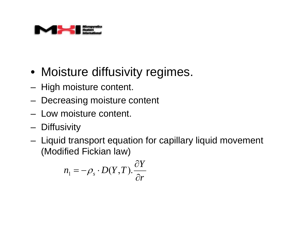

- Moisture diffusivity regimes.
- –High moisture content.
- –Decreasing moisture content
- Low moisture content.
- –**Diffusivity**
- and the state of the Liquid transport equation for capillary liquid movement (Modified Fickian law)

$$
n_1 = -\rho_s \cdot D(Y, T) \cdot \frac{\partial Y}{\partial r}
$$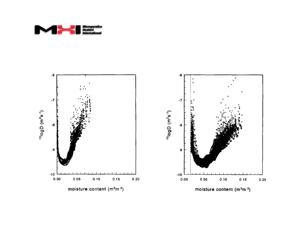

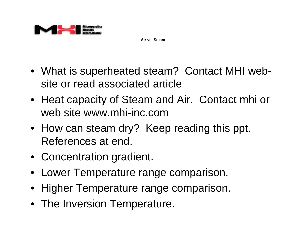

**Air vs. Steam**

- What is superheated steam? Contact MHI website or read associated article
- Heat capacity of Steam and Air. Contact mhi or web site www.mhi-inc.com
- How can steam dry? Keep reading this ppt. References at end.
- Concentration gradient.
- Lower Temperature range comparison.
- Higher Temperature range comparison.
- The Inversion Temperature.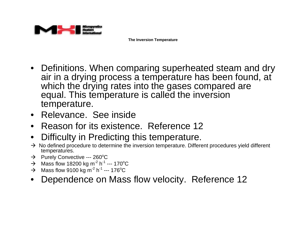

**The Inversion Temperature**

- Definitions. When comparing superheated steam and dry air in a drying process a temperature has been found, at which the drying rates into the gases compared are equal. This temperature is called the inversion temperature.
- Relevance. See inside
- $\bullet$ Reason for its existence. Reference 12
- •Difficulty in Predicting this temperature.
- $\rightarrow$  No defined procedure to determine the inversion temperature. Different procedures yield different temperatures.
- $\rightarrow$  Purely Convective --- 260°C
- $\rightarrow$  Mass flow 18200 kg m<sup>-2</sup> h<sup>-1</sup> --- 170<sup>o</sup>C
- $\rightarrow$  Mass flow 9100 kg m<sup>-2</sup> h<sup>-1</sup> --- 176<sup>o</sup>C
- •Dependence on Mass flow velocity. Reference 12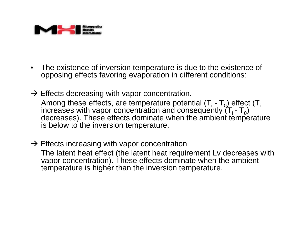

- $\bullet$  The existence of inversion temperature is due to the existence of opposing effects favoring evaporation in different conditions:
- $\rightarrow$  Effects decreasing with vapor concentration. Among these effects, are temperature potential (T $_{\rm i}$  - T increases with vapor concentration and consequently  $(T_i - T_0)$ decreases). These effects dominate when the ambient temperature is below to the inversion temperature.
- $\rightarrow$  Effects increasing with vapor concentration

The latent heat effect (the latent heat requirement Lv decreases with vapor concentration). These effects dominate when the ambient temperature is higher than the inversion temperature.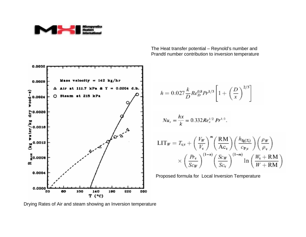



Drying Rates of Air and steam showing an Inversion temperature

The Heat transfer potential – Reynold's number and Prandtl number contribution to inversion temperature

$$
h = 0.027 \frac{k}{D} Re_D^{0.8} Pr^{1/3} \left[ 1 + \left( \frac{D}{x} \right)^{2/3} \right]
$$

$$
Nu_x = \frac{hx}{k} = 0.332 Re_x^{1/2} Pr^{1/3}.
$$

$$
LIT_W = T_{s,v} + \left(\frac{V_W}{V_v}\right)^m \left(\frac{RM}{Ac_v}\right) \left(\frac{h_{fg(T_s)}}{c_{P,v}}\right) \left(\frac{\rho_W}{\rho_v}\right)
$$

$$
\times \left(\frac{Pr_v}{Sc_W}\right)^{(1-n)} \left(\frac{Sc_W}{Sc_v}\right)^{(1-m)} \ln\left(\frac{W_s + RM}{W + RM}\right)
$$

Proposed formula for Local Inversion Temperature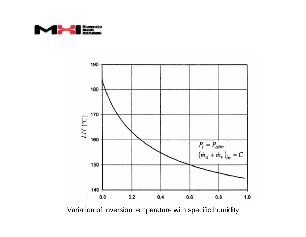



Variation of Inversion temperature with specific humidity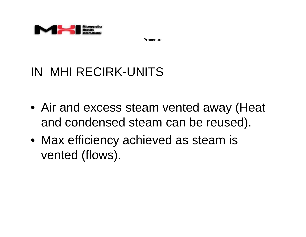

**Procedure**

# IN MHI RECIRK-UNITS

- Air and excess steam vented away (Heat and condensed steam can be reused).
- Max efficiency achieved as steam is vented (flows).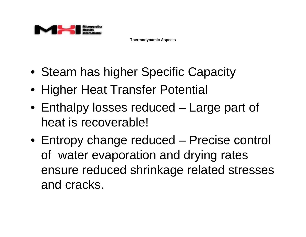

**Thermodynamic Aspects**

- Steam has higher Specific Capacity
- Higher Heat Transfer Potential
- Enthalpy losses reduced Large part of heat is recoverable!
- Entropy change reduced Precise control of water evaporation and drying rates ensure reduced shrinkage related stresses and cracks.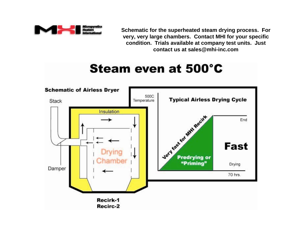

**Schematic for the superheated steam drying process. For very, very large chambers. Contact MHI for your specific condition. Trials available at company test units. Just contact us at sales@mhi-inc.com**

## Steam even at 500°C

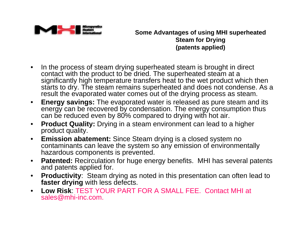

**Some Advantages of using MHI superheated Steam for Drying (patents applied)**

- • In the process of steam drying superheated steam is brought in direct contact with the product to be dried. The superheated steam at a significantly high temperature transfers heat to the wet product which then starts to dry. The steam remains superheated and does not condense. As a result the evaporated water comes out of the drying process as steam.
- $\bullet$  **Energy savings:** The evaporated water is released as pure steam and its energy can be recovered by condensation. The energy consumption thus can be reduced even by 80% compared to drying with hot air.
- • **Product Quality:** Drying in a steam environment can lead to a higher product quality.
- • **Emission abatement:** Since Steam drying is a closed system no contaminants can leave the system so any emission of environmentally hazardous components is prevented.
- $\bullet$  **Patented:** Recirculation for huge energy benefits. MHI has several patents and patents applied for.
- $\bullet$  **Productivity**: Steam drying as noted in this presentation can often lead to **faster drying** with less defects.
- $\bullet$  **Low Risk**: TEST YOUR PART FOR A SMALL FEE. Contact MHI at sales@mhi-inc.com.